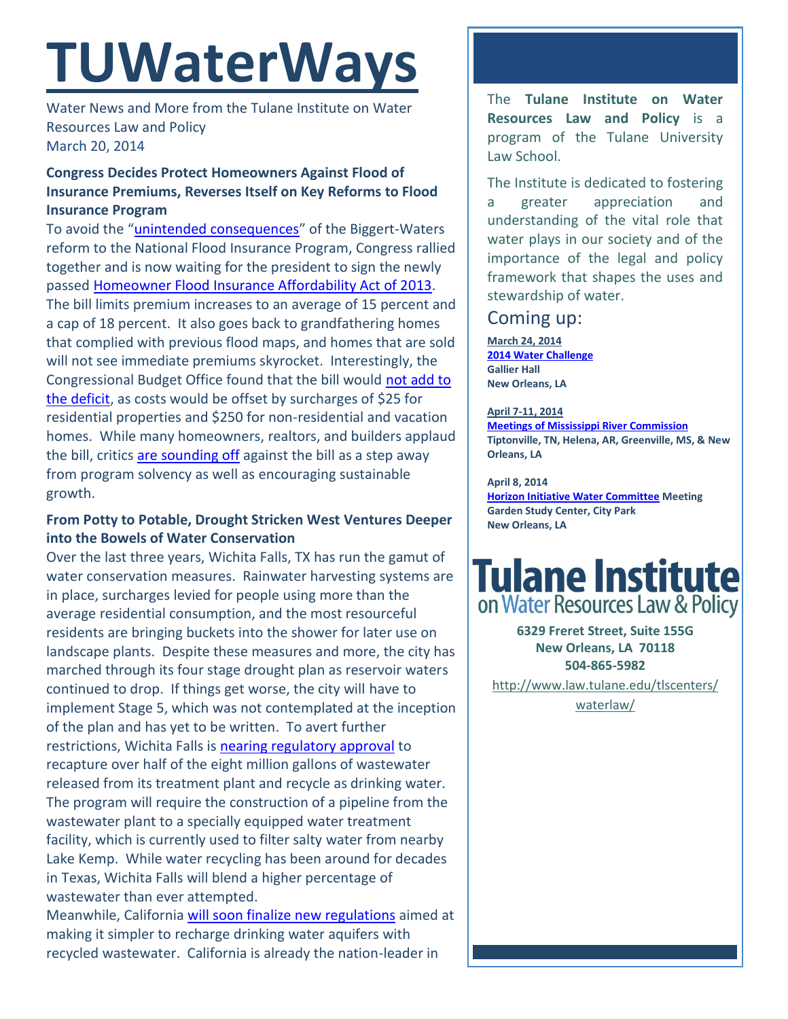# **TUWaterWays**

Water News and More from the Tulane Institute on Water Resources Law and Policy March 20, 2014

### **Congress Decides Protect Homeowners Against Flood of Insurance Premiums, Reverses Itself on Key Reforms to Flood Insurance Program**

To avoid the "[unintended consequences](http://www.desmoinesregister.com/article/20140314/BUSINESS/303140097/?odyssey=nav%7Chead)" of the Biggert-Waters reform to the National Flood Insurance Program, Congress rallied together and is now waiting for the president to sign the newly passed [Homeowner Flood Insurance Affordability Act of 2013.](http://beta.congress.gov/113/bills/hr3370/BILLS-113hr3370enr.xml) The bill limits premium increases to an average of 15 percent and a cap of 18 percent. It also goes back to grandfathering homes that complied with previous flood maps, and homes that are sold will not see immediate premiums skyrocket. Interestingly, the Congressional Budget Office found that the bill would [not add to](http://www.cbo.gov/sites/default/files/cbofiles/attachments/45160-hr3370amendment.pdf)  [the deficit,](http://www.cbo.gov/sites/default/files/cbofiles/attachments/45160-hr3370amendment.pdf) as costs would be offset by surcharges of \$25 for residential properties and \$250 for non-residential and vacation homes. While many homeowners, realtors, and builders applaud the bill, critics [are sounding off](http://www.huffingtonpost.com/2014/03/17/congress-flood-insurance_n_4981226.html) against the bill as a step away from program solvency as well as encouraging sustainable growth.

### **From Potty to Potable, Drought Stricken West Ventures Deeper into the Bowels of Water Conservation**

Over the last three years, Wichita Falls, TX has run the gamut of water conservation measures. Rainwater harvesting systems are in place, surcharges levied for people using more than the average residential consumption, and the most resourceful residents are bringing buckets into the shower for later use on landscape plants. Despite these measures and more, the city has marched through its four stage drought plan as reservoir waters continued to drop. If things get worse, the city will have to implement Stage 5, which was not contemplated at the inception of the plan and has yet to be written. To avert further restrictions, Wichita Falls is [nearing regulatory approval](http://www.star-telegram.com/2014/03/14/5650516/dry-wichita-falls-to-try-drinking.html?rh=1) to recapture over half of the eight million gallons of wastewater released from its treatment plant and recycle as drinking water. The program will require the construction of a pipeline from the wastewater plant to a specially equipped water treatment facility, which is currently used to filter salty water from nearby Lake Kemp. While water recycling has been around for decades in Texas, Wichita Falls will blend a higher percentage of wastewater than ever attempted.

Meanwhile, Californi[a will soon finalize new regulations](http://www.wateronline.com/doc/california-s-new-indirect-potable-reuse-regulations-what-to-expect-0001) aimed at making it simpler to recharge drinking water aquifers with recycled wastewater. California is already the nation-leader in

The **Tulane Institute on Water Resources Law and Policy** is a program of the Tulane University Law School.

The Institute is dedicated to fostering a greater appreciation and understanding of the vital role that water plays in our society and of the importance of the legal and policy framework that shapes the uses and stewardship of water.

### Coming up:

**March 24, 2014 [2014 Water Challenge](http://ideavillage.org/what_we_do/capital_village/water_challenge/) Gallier Hall New Orleans, LA**

**April 7-11, 2014 [Meetings of Mississippi River Commission](http://www.mvd.usace.army.mil/Portals/52/docs/MRC/2014_High_Water_Public_Meeting_Notice.pdf) Tiptonville, TN, Helena, AR, Greenville, MS, & New Orleans, LA**

**April 8, 2014 [Horizon Initiative Water Committee](http://www.watershednola.org/) Meeting Garden Study Center, City Park New Orleans, LA**

## **Tulane Institute** on Water Resources Law & Policy

**6329 Freret Street, Suite 155G New Orleans, LA 70118 504-865-5982** 

[http://www.law.tulane.edu/tlscenters/](http://www.law.tulane.edu/tlscenters/waterlaw/)

[waterlaw/](http://www.law.tulane.edu/tlscenters/waterlaw/)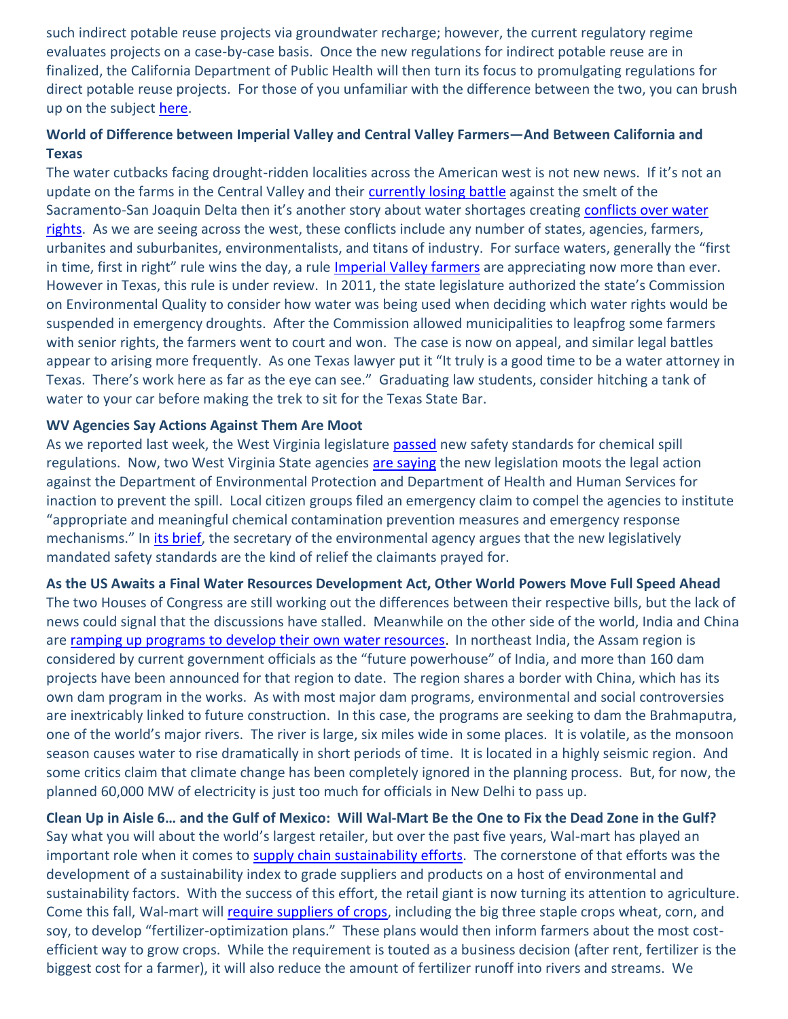such indirect potable reuse projects via groundwater recharge; however, the current regulatory regime evaluates projects on a case-by-case basis. Once the new regulations for indirect potable reuse are in finalized, the California Department of Public Health will then turn its focus to promulgating regulations for direct potable reuse projects. For those of you unfamiliar with the difference between the two, you can brush up on the subject [here.](http://www.wateronline.com/doc/direct-potable-reuse-vs-indirect-weighing-the-pros-and-cons-0001)

### **World of Difference between Imperial Valley and Central Valley Farmers—And Between California and Texas**

The water cutbacks facing drought-ridden localities across the American west is not new news. If it's not an update on the farms in the Central Valley and their [currently losing battle](http://www.reuters.com/article/2014/03/13/us-usa-california-water-idUSBREA2C1MB20140313) against the smelt of the Sacramento-San Joaquin Delta then it's another story about water shortages creating conflicts over water [rights.](http://www.nytimes.com/2014/03/17/us/wests-drought-and-growth-intensify-conflict-over-water-rights.html?_r=1) As we are seeing across the west, these conflicts include any number of states, agencies, farmers, urbanites and suburbanites, environmentalists, and titans of industry. For surface waters, generally the "first in time, first in right" rule wins the day, a rule [Imperial Valley farmers](http://www.latimes.com/local/la-me-imperial-valley-water-20140317,0,7579263.story#axzz2wFGHoi8K) are appreciating now more than ever. However in Texas, this rule is under review. In 2011, the state legislature authorized the state's Commission on Environmental Quality to consider how water was being used when deciding which water rights would be suspended in emergency droughts. After the Commission allowed municipalities to leapfrog some farmers with senior rights, the farmers went to court and won. The case is now on appeal, and similar legal battles appear to arising more frequently. As one Texas lawyer put it "It truly is a good time to be a water attorney in Texas. There's work here as far as the eye can see." Graduating law students, consider hitching a tank of water to your car before making the trek to sit for the Texas State Bar.

### **WV Agencies Say Actions Against Them Are Moot**

As we reported last week, the West Virginia legislature [passed](http://www.insurancejournal.com/news/southeast/2014/03/11/322928.htm) new safety standards for chemical spill regulations. Now, two West Virginia State agencies [are saying](http://www.wvgazette.com/News/201403130151) the new legislation moots the legal action against the Department of Environmental Protection and Department of Health and Human Services for inaction to prevent the spill. Local citizen groups filed an emergency claim to compel the agencies to institute "appropriate and meaningful chemical contamination prevention measures and emergency response mechanisms." In [its brief,](http://www.courtswv.gov/supreme-court/clerk/pdf/cases-of-interest/covenant-v-huffman/WVDEPResponse.pdf) the secretary of the environmental agency argues that the new legislatively mandated safety standards are the kind of relief the claimants prayed for.

#### **As the US Awaits a Final Water Resources Development Act, Other World Powers Move Full Speed Ahead**

The two Houses of Congress are still working out the differences between their respective bills, but the lack of news could signal that the discussions have stalled. Meanwhile on the other side of the world, India and China are [ramping up programs to develop their own water resources](http://www.theguardian.com/environment/2014/mar/17/india-dams-rivers-himalaya-wildlife). In northeast India, the Assam region is considered by current government officials as the "future powerhouse" of India, and more than 160 dam projects have been announced for that region to date. The region shares a border with China, which has its own dam program in the works. As with most major dam programs, environmental and social controversies are inextricably linked to future construction. In this case, the programs are seeking to dam the Brahmaputra, one of the world's major rivers. The river is large, six miles wide in some places. It is volatile, as the monsoon season causes water to rise dramatically in short periods of time. It is located in a highly seismic region. And some critics claim that climate change has been completely ignored in the planning process. But, for now, the planned 60,000 MW of electricity is just too much for officials in New Delhi to pass up.

**Clean Up in Aisle 6… and the Gulf of Mexico: Will Wal-Mart Be the One to Fix the Dead Zone in the Gulf?** Say what you will about the world's largest retailer, but over the past five years, Wal-mart has played an important role when it comes to [supply chain sustainability efforts.](http://www.environmentalleader.com/2010/04/13/wal-mart-says-environmental-initiatives-about-money-not-brand-image/) The cornerstone of that efforts was the development of a sustainability index to grade suppliers and products on a host of environmental and sustainability factors. With the success of this effort, the retail giant is now turning its attention to agriculture. Come this fall, Wal-mart will [require suppliers of crops,](http://www.usatoday.com/story/money/business/2014/03/16/wal-mart-has-fertilizer-plan/6428637/) including the big three staple crops wheat, corn, and soy, to develop "fertilizer-optimization plans." These plans would then inform farmers about the most costefficient way to grow crops. While the requirement is touted as a business decision (after rent, fertilizer is the biggest cost for a farmer), it will also reduce the amount of fertilizer runoff into rivers and streams. We